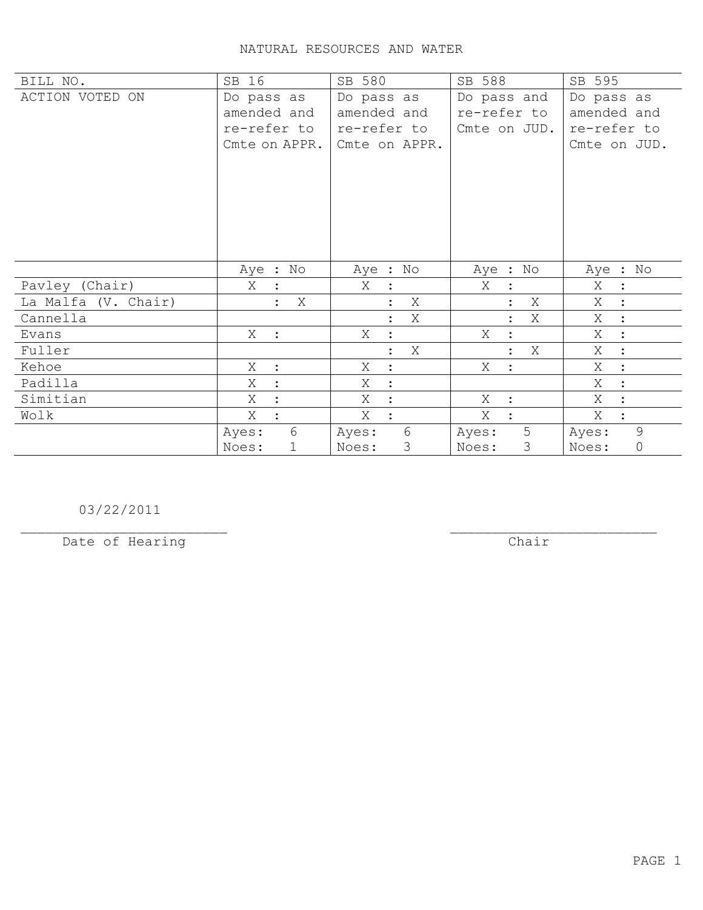## NATURAL RESOURCES AND WATER

| BILL NO.            | SB 16               | SB 580                 | SB 588                    | SB 595              |
|---------------------|---------------------|------------------------|---------------------------|---------------------|
| ACTION VOTED ON     | Do pass as          | Do pass as             | Do pass and               | Do pass as          |
|                     | amended and         | amended and            | re-refer to               | amended and         |
|                     | re-refer to         | re-refer to            | Cmte on JUD.              | re-refer to         |
|                     | Cmte on APPR.       | Cmte on APPR.          |                           | Cmte on JUD.        |
|                     |                     |                        |                           |                     |
|                     |                     |                        |                           |                     |
|                     |                     |                        |                           |                     |
|                     |                     |                        |                           |                     |
|                     |                     |                        |                           |                     |
|                     |                     |                        |                           |                     |
|                     | Aye : No            | Aye : No               | Aye : No                  | Aye : No            |
| Pavley (Chair)      | Χ<br>$\ddot{\cdot}$ | Χ<br>$\sim$ $\sim$     | X<br>$\ddot{\cdot}$       | Χ<br>$\ddot{\cdot}$ |
| La Malfa (V. Chair) | Χ                   | Χ<br>$\ddot{\cdot}$    | Χ                         | Χ                   |
| Cannella            |                     | Χ<br>$\ddot{\cdot}$    | Χ<br>$\ddot{\cdot}$       | Χ<br>$\ddot{\cdot}$ |
| Evans               | X :                 | X<br>$\ddot{\cdot}$    | Χ                         | Χ<br>$\ddot{\cdot}$ |
| Fuller              |                     | Χ<br>$\ddot{\cdot}$    | X<br>$\ddot{\cdot}$       | Χ<br>$\ddot{\cdot}$ |
| Kehoe               | Χ<br>$\cdot$        | Χ<br>$\ddot{\cdot}$    | X<br>$\ddot{\phantom{1}}$ | Χ                   |
| Padilla             | X                   | Χ<br>$\ddot{\cdot}$    |                           | X<br>$\ddot{\cdot}$ |
| Simitian            | Χ                   | X<br>$\ddot{\cdot}$    | Χ<br>$\ddot{\cdot}$       | X                   |
| Wolk                | X                   | Χ<br>$\ddot{\cdot}$    | X                         | Χ                   |
|                     | 6<br>Ayes:          | 6<br>Ayes:             | 5<br>Ayes:                | 9<br>Ayes:          |
|                     | 1<br>Noes:          | $\mathcal{S}$<br>Noes: | 3<br>Noes:                | 0<br>Noes:          |

03/22/2011

Date of Hearing Chair